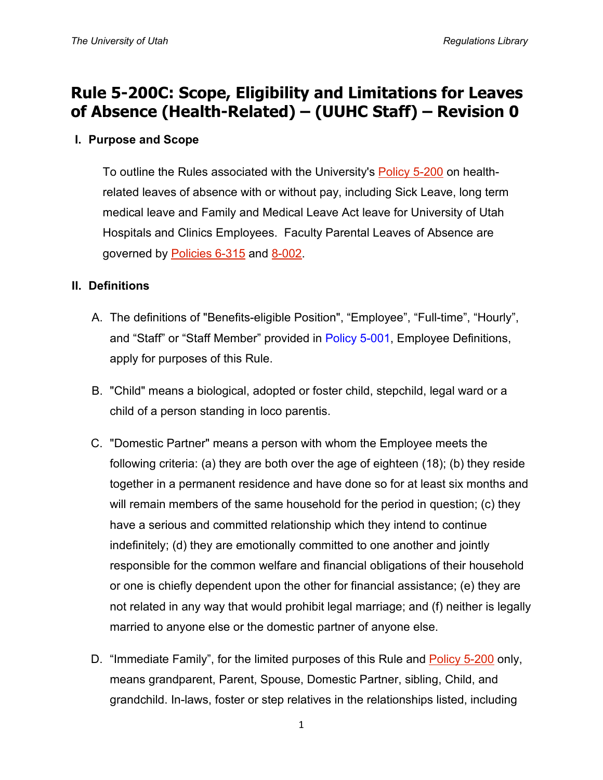# **Rule 5-200C: Scope, Eligibility and Limitations for Leaves of Absence (Health-Related) – (UUHC Staff) – Revision 0**

## **I. Purpose and Scope**

To outline the Rules associated with the University's **Policy 5-200** on healthrelated leaves of absence with or without pay, including Sick Leave, long term medical leave and Family and Medical Leave Act leave for University of Utah Hospitals and Clinics Employees. Faculty Parental Leaves of Absence are governed by [Policies 6-315](http://regulations.utah.edu/academics/6-315.php) and [8-002.](http://regulations.utah.edu/health-sciences/8-002.php)

### **II. Definitions**

- A. The definitions of "Benefits-eligible Position", "Employee", "Full-time", "Hourly", and "Staff" or "Staff Member" provided in [Policy 5-001,](http://regulations.utah.edu/human-resources/5-001.php) Employee Definitions, apply for purposes of this Rule.
- B. "Child" means a biological, adopted or foster child, stepchild, legal ward or a child of a person standing in loco parentis.
- C. "Domestic Partner" means a person with whom the Employee meets the following criteria: (a) they are both over the age of eighteen (18); (b) they reside together in a permanent residence and have done so for at least six months and will remain members of the same household for the period in question; (c) they have a serious and committed relationship which they intend to continue indefinitely; (d) they are emotionally committed to one another and jointly responsible for the common welfare and financial obligations of their household or one is chiefly dependent upon the other for financial assistance; (e) they are not related in any way that would prohibit legal marriage; and (f) neither is legally married to anyone else or the domestic partner of anyone else.
- D. "Immediate Family", for the limited purposes of this Rule and [Policy 5-200](http://regulations.utah.edu/human-resources/5-200.php) only, means grandparent, Parent, Spouse, Domestic Partner, sibling, Child, and grandchild. In-laws, foster or step relatives in the relationships listed, including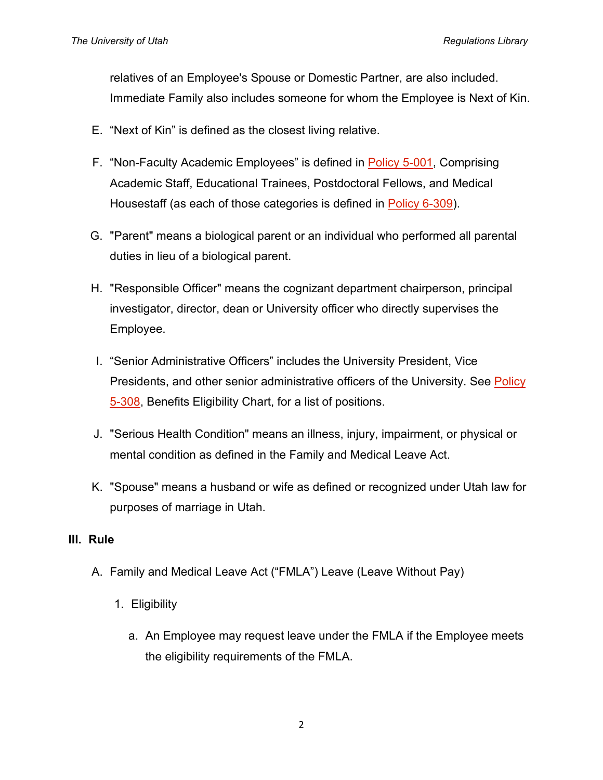relatives of an Employee's Spouse or Domestic Partner, are also included. Immediate Family also includes someone for whom the Employee is Next of Kin.

- E. "Next of Kin" is defined as the closest living relative.
- F. "Non-Faculty Academic Employees" is defined in [Policy 5-001,](http://regulations.utah.edu/human-resources/5-001.php) Comprising Academic Staff, Educational Trainees, Postdoctoral Fellows, and Medical Housestaff (as each of those categories is defined in [Policy 6-309\)](http://regulations.utah.edu/academics/6-309.php).
- G. "Parent" means a biological parent or an individual who performed all parental duties in lieu of a biological parent.
- H. "Responsible Officer" means the cognizant department chairperson, principal investigator, director, dean or University officer who directly supervises the Employee.
- I. "Senior Administrative Officers" includes the University President, Vice Presidents, and other senior administrative officers of the University. See Policy [5-308,](http://regulations.utah.edu/human-resources/5-308.php) Benefits Eligibility Chart, for a list of positions.
- J. "Serious Health Condition" means an illness, injury, impairment, or physical or mental condition as defined in the Family and Medical Leave Act.
- K. "Spouse" means a husband or wife as defined or recognized under Utah law for purposes of marriage in Utah.

#### **III. Rule**

- A. Family and Medical Leave Act ("FMLA") Leave (Leave Without Pay)
	- 1. Eligibility
		- a. An Employee may request leave under the FMLA if the Employee meets the eligibility requirements of the FMLA.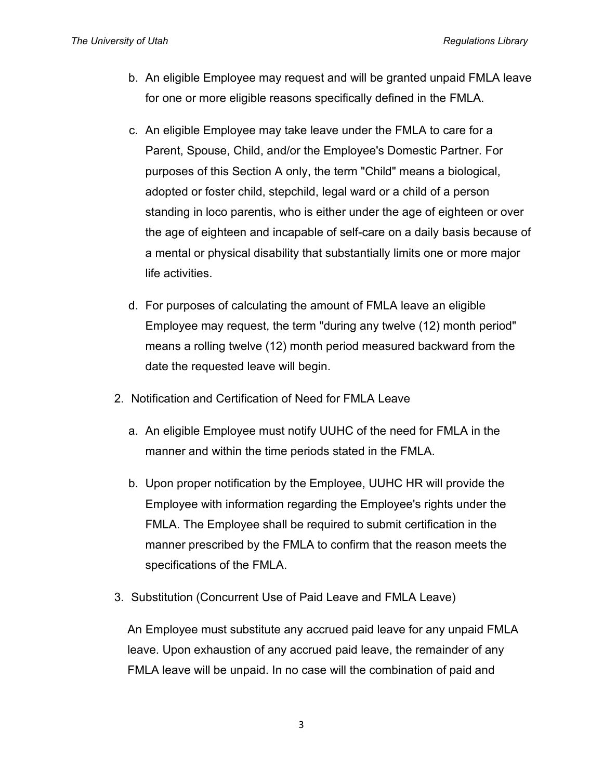*The University of Utah Regulations Library*

- b. An eligible Employee may request and will be granted unpaid FMLA leave for one or more eligible reasons specifically defined in the FMLA.
- c. An eligible Employee may take leave under the FMLA to care for a Parent, Spouse, Child, and/or the Employee's Domestic Partner. For purposes of this Section A only, the term "Child" means a biological, adopted or foster child, stepchild, legal ward or a child of a person standing in loco parentis, who is either under the age of eighteen or over the age of eighteen and incapable of self-care on a daily basis because of a mental or physical disability that substantially limits one or more major life activities.
- d. For purposes of calculating the amount of FMLA leave an eligible Employee may request, the term "during any twelve (12) month period" means a rolling twelve (12) month period measured backward from the date the requested leave will begin.
- 2. Notification and Certification of Need for FMLA Leave
	- a. An eligible Employee must notify UUHC of the need for FMLA in the manner and within the time periods stated in the FMLA.
	- b. Upon proper notification by the Employee, UUHC HR will provide the Employee with information regarding the Employee's rights under the FMLA. The Employee shall be required to submit certification in the manner prescribed by the FMLA to confirm that the reason meets the specifications of the FMLA.
- 3. Substitution (Concurrent Use of Paid Leave and FMLA Leave)

An Employee must substitute any accrued paid leave for any unpaid FMLA leave. Upon exhaustion of any accrued paid leave, the remainder of any FMLA leave will be unpaid. In no case will the combination of paid and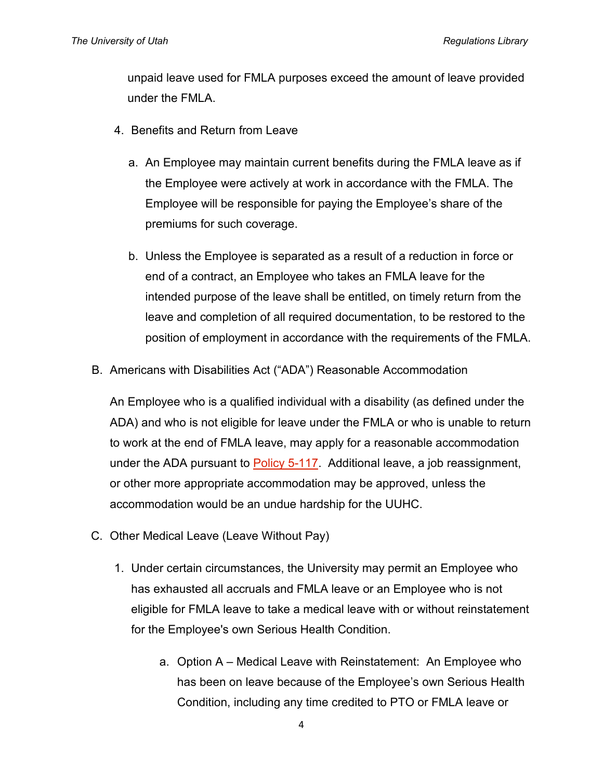unpaid leave used for FMLA purposes exceed the amount of leave provided under the FMLA.

- 4. Benefits and Return from Leave
	- a. An Employee may maintain current benefits during the FMLA leave as if the Employee were actively at work in accordance with the FMLA. The Employee will be responsible for paying the Employee's share of the premiums for such coverage.
	- b. Unless the Employee is separated as a result of a reduction in force or end of a contract, an Employee who takes an FMLA leave for the intended purpose of the leave shall be entitled, on timely return from the leave and completion of all required documentation, to be restored to the position of employment in accordance with the requirements of the FMLA.
- B. Americans with Disabilities Act ("ADA") Reasonable Accommodation

An Employee who is a qualified individual with a disability (as defined under the ADA) and who is not eligible for leave under the FMLA or who is unable to return to work at the end of FMLA leave, may apply for a reasonable accommodation under the ADA pursuant to [Policy 5-117.](http://regulations.utah.edu/human-resources/5-117.php) Additional leave, a job reassignment, or other more appropriate accommodation may be approved, unless the accommodation would be an undue hardship for the UUHC.

- C. Other Medical Leave (Leave Without Pay)
	- 1. Under certain circumstances, the University may permit an Employee who has exhausted all accruals and FMLA leave or an Employee who is not eligible for FMLA leave to take a medical leave with or without reinstatement for the Employee's own Serious Health Condition.
		- a. Option A Medical Leave with Reinstatement: An Employee who has been on leave because of the Employee's own Serious Health Condition, including any time credited to PTO or FMLA leave or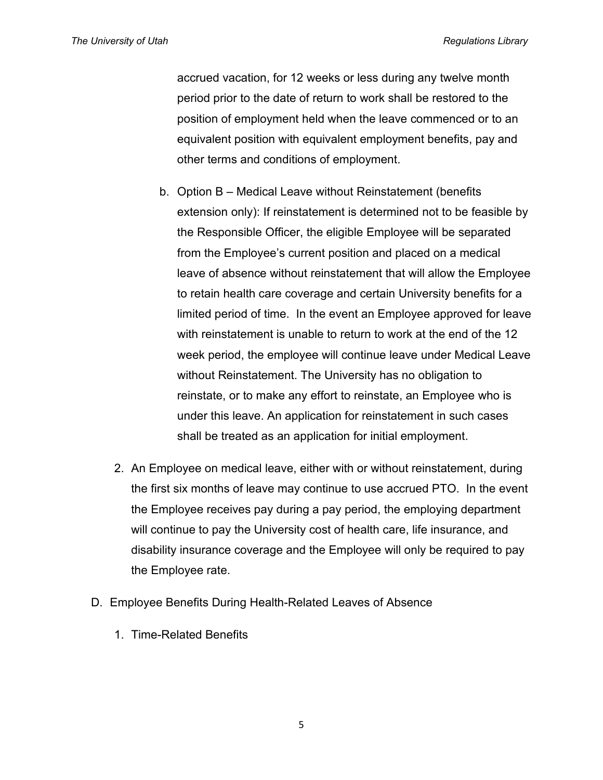accrued vacation, for 12 weeks or less during any twelve month period prior to the date of return to work shall be restored to the position of employment held when the leave commenced or to an equivalent position with equivalent employment benefits, pay and other terms and conditions of employment.

- b. Option B Medical Leave without Reinstatement (benefits extension only): If reinstatement is determined not to be feasible by the Responsible Officer, the eligible Employee will be separated from the Employee's current position and placed on a medical leave of absence without reinstatement that will allow the Employee to retain health care coverage and certain University benefits for a limited period of time. In the event an Employee approved for leave with reinstatement is unable to return to work at the end of the 12 week period, the employee will continue leave under Medical Leave without Reinstatement. The University has no obligation to reinstate, or to make any effort to reinstate, an Employee who is under this leave. An application for reinstatement in such cases shall be treated as an application for initial employment.
- 2. An Employee on medical leave, either with or without reinstatement, during the first six months of leave may continue to use accrued PTO. In the event the Employee receives pay during a pay period, the employing department will continue to pay the University cost of health care, life insurance, and disability insurance coverage and the Employee will only be required to pay the Employee rate.
- D. Employee Benefits During Health-Related Leaves of Absence
	- 1. Time-Related Benefits

5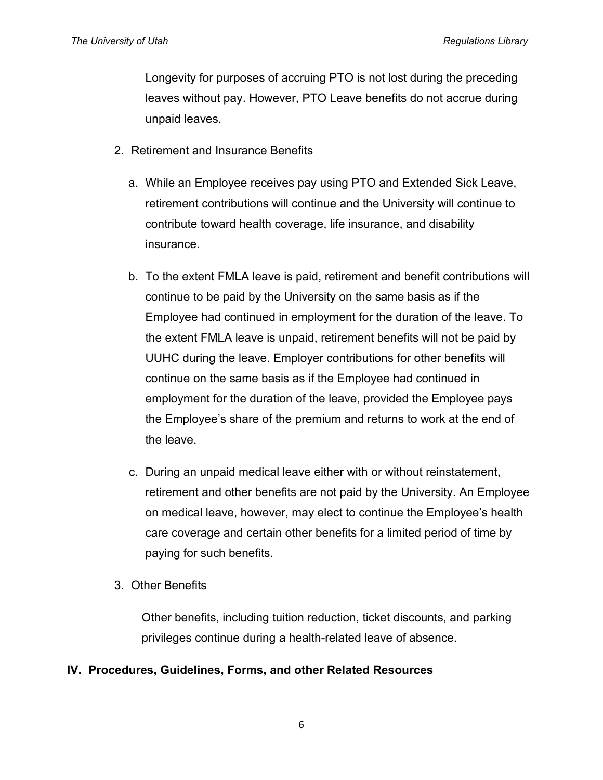Longevity for purposes of accruing PTO is not lost during the preceding leaves without pay. However, PTO Leave benefits do not accrue during unpaid leaves.

- 2. Retirement and Insurance Benefits
	- a. While an Employee receives pay using PTO and Extended Sick Leave, retirement contributions will continue and the University will continue to contribute toward health coverage, life insurance, and disability insurance.
	- b. To the extent FMLA leave is paid, retirement and benefit contributions will continue to be paid by the University on the same basis as if the Employee had continued in employment for the duration of the leave. To the extent FMLA leave is unpaid, retirement benefits will not be paid by UUHC during the leave. Employer contributions for other benefits will continue on the same basis as if the Employee had continued in employment for the duration of the leave, provided the Employee pays the Employee's share of the premium and returns to work at the end of the leave.
	- c. During an unpaid medical leave either with or without reinstatement, retirement and other benefits are not paid by the University. An Employee on medical leave, however, may elect to continue the Employee's health care coverage and certain other benefits for a limited period of time by paying for such benefits.
- 3. Other Benefits

Other benefits, including tuition reduction, ticket discounts, and parking privileges continue during a health-related leave of absence.

# **IV. Procedures, Guidelines, Forms, and other Related Resources**

6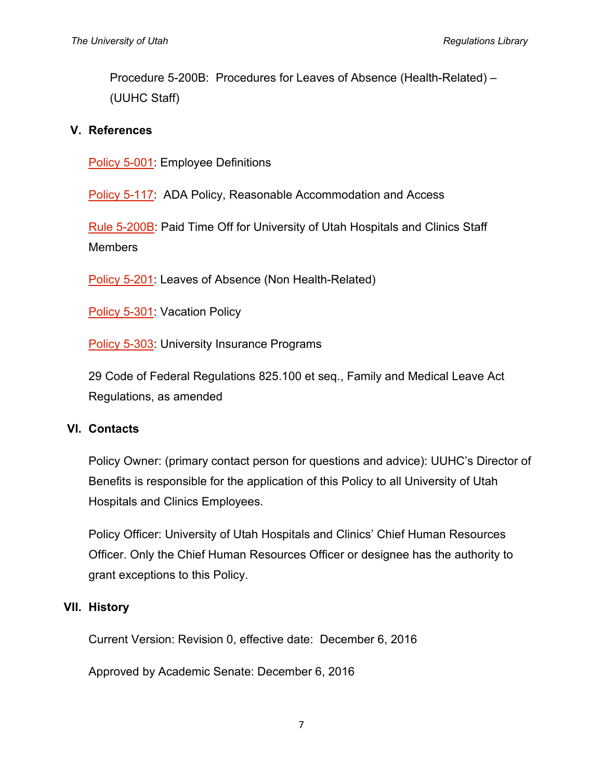Procedure 5-200B: Procedures for Leaves of Absence (Health-Related) – (UUHC Staff)

### **V. References**

[Policy 5-001:](http://regulations.utah.edu/human-resources/5-001.php) Employee Definitions

[Policy 5-117:](http://regulations.utah.edu/human-resources/5-117.php) ADA Policy, Reasonable Accommodation and Access

[Rule 5-200B:](http://regulations.utah.edu/human-resources/rules/rule_5-200B.php) Paid Time Off for University of Utah Hospitals and Clinics Staff Members

[Policy 5-201:](http://regulations.utah.edu/u-organizations/2-001.php) Leaves of Absence (Non Health-Related)

[Policy 5-301:](http://regulations.utah.edu/human-resources/5-301.php) Vacation Policy

[Policy 5-303:](http://regulations.utah.edu/human-resources/5-303.php) University Insurance Programs

29 Code of Federal Regulations 825.100 et seq., Family and Medical Leave Act Regulations, as amended

#### **VI. Contacts**

Policy Owner: (primary contact person for questions and advice): UUHC's Director of Benefits is responsible for the application of this Policy to all University of Utah Hospitals and Clinics Employees.

Policy Officer: University of Utah Hospitals and Clinics' Chief Human Resources Officer. Only the Chief Human Resources Officer or designee has the authority to grant exceptions to this Policy.

# **VII. History**

Current Version: Revision 0, effective date: December 6, 2016

Approved by Academic Senate: December 6, 2016